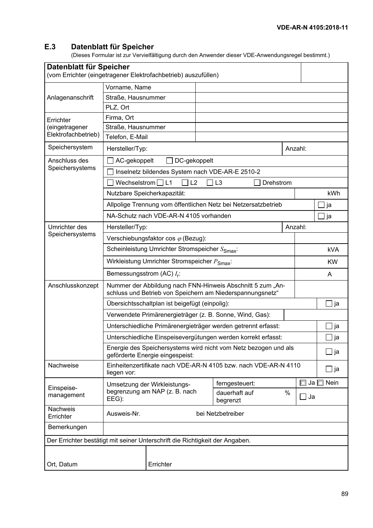#### E.3 Datenblatt für Speicher

(Dieses Formular ist zur Vervielfältigung durch den Anwender dieser VDE-Anwendungsregel bestimmt.)

| Datenblatt für Speicher<br>(vom Errichter (eingetragener Elektrofachbetrieb) auszufüllen) |                                                                                                                         |               |  |                           |      |           |                |
|-------------------------------------------------------------------------------------------|-------------------------------------------------------------------------------------------------------------------------|---------------|--|---------------------------|------|-----------|----------------|
|                                                                                           |                                                                                                                         | Vorname, Name |  |                           |      |           |                |
| Anlagenanschrift                                                                          | Straße, Hausnummer                                                                                                      |               |  |                           |      |           |                |
|                                                                                           | PLZ, Ort                                                                                                                |               |  |                           |      |           |                |
| Errichter<br>(eingetragener<br>Elektrofachbetrieb)                                        | Firma, Ort                                                                                                              |               |  |                           |      |           |                |
|                                                                                           | Straße, Hausnummer                                                                                                      |               |  |                           |      |           |                |
|                                                                                           | Telefon, E-Mail                                                                                                         |               |  |                           |      |           |                |
| Speichersystem                                                                            | Anzahl:<br>Hersteller/Typ:                                                                                              |               |  |                           |      |           |                |
| Anschluss des<br>Speichersystems                                                          | AC-gekoppelt<br>DC-gekoppelt                                                                                            |               |  |                           |      |           |                |
|                                                                                           | Inselnetz bildendes System nach VDE-AR-E 2510-2                                                                         |               |  |                           |      |           |                |
|                                                                                           | 7 L3<br>Wechselstrom $\Box$ L1<br>$\sqsupset$ L2<br>Drehstrom                                                           |               |  |                           |      |           |                |
|                                                                                           | Nutzbare Speicherkapazität:                                                                                             |               |  |                           |      |           | kWh            |
|                                                                                           | Allpolige Trennung vom öffentlichen Netz bei Netzersatzbetrieb                                                          |               |  |                           |      |           | ja             |
|                                                                                           | NA-Schutz nach VDE-AR-N 4105 vorhanden                                                                                  |               |  |                           |      |           | ja             |
| Umrichter des<br>Speichersystems                                                          | Hersteller/Typ:                                                                                                         |               |  |                           |      | Anzahl:   |                |
|                                                                                           | Verschiebungsfaktor cos $\varphi$ (Bezug):                                                                              |               |  |                           |      |           |                |
|                                                                                           | Scheinleistung Umrichter Stromspeicher S <sub>Smax</sub> :                                                              |               |  |                           |      |           | <b>kVA</b>     |
|                                                                                           | Wirkleistung Umrichter Stromspeicher P <sub>Smax</sub> :                                                                |               |  |                           |      | <b>KW</b> |                |
|                                                                                           | Bemessungsstrom (AC) $I_r$ :                                                                                            |               |  |                           |      | A         |                |
| Anschlusskonzept                                                                          | Nummer der Abbildung nach FNN-Hinweis Abschnitt 5 zum "An-<br>schluss und Betrieb von Speichern am Niederspannungsnetz" |               |  |                           |      |           |                |
|                                                                                           | Übersichtsschaltplan ist beigefügt (einpolig):                                                                          |               |  |                           |      |           | _l ja          |
|                                                                                           | Verwendete Primärenergieträger (z. B. Sonne, Wind, Gas):                                                                |               |  |                           |      |           |                |
|                                                                                           | Unterschiedliche Primärenergieträger werden getrennt erfasst:                                                           |               |  |                           |      |           | ∐ ja           |
|                                                                                           | Unterschiedliche Einspeisevergütungen werden korrekt erfasst:                                                           |               |  |                           |      |           | _l ja          |
|                                                                                           | Energie des Speichersystems wird nicht vom Netz bezogen und als<br>geförderte Energie eingespeist:                      |               |  |                           |      |           | ∐ ja           |
| Nachweise                                                                                 | Einheitenzertifikate nach VDE-AR-N 4105 bzw. nach VDE-AR-N 4110<br>liegen vor:                                          |               |  |                           |      |           | _l ja          |
| Einspeise-                                                                                | Umsetzung der Wirkleistungs-<br>begrenzung am NAP (z. B. nach<br>EEG):                                                  |               |  | ferngesteuert:            |      |           | Ja $\Box$ Nein |
| management                                                                                |                                                                                                                         |               |  | dauerhaft auf<br>begrenzt | $\%$ | Ja        |                |
| Nachweis<br>Errichter                                                                     | Ausweis-Nr.                                                                                                             |               |  | bei Netzbetreiber         |      |           |                |
| Bemerkungen                                                                               |                                                                                                                         |               |  |                           |      |           |                |
| Der Errichter bestätigt mit seiner Unterschrift die Richtigkeit der Angaben.              |                                                                                                                         |               |  |                           |      |           |                |
|                                                                                           |                                                                                                                         |               |  |                           |      |           |                |
| Ort, Datum                                                                                |                                                                                                                         | Errichter     |  |                           |      |           |                |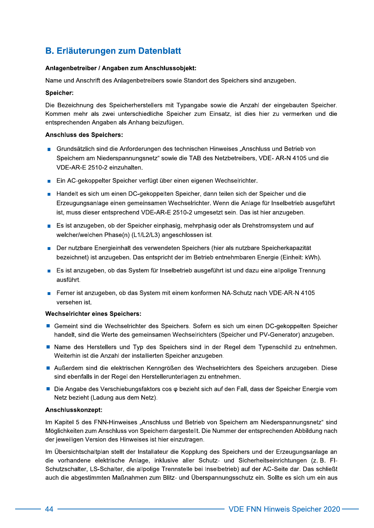# **B. Erläuterungen zum Datenblatt**

# Anlagenbetreiber / Angaben zum Anschlussobjekt:

Name und Anschrift des Anlagenbetreibers sowie Standort des Speichers sind anzugeben.

# Speicher:

Die Bezeichnung des Speicherherstellers mit Typangabe sowie die Anzahl der eingebauten Speicher. Kommen mehr als zwei unterschiedliche Speicher zum Einsatz, ist dies hier zu vermerken und die entsprechenden Angaben als Anhang beizufügen.

# **Anschluss des Speichers:**

- Grundsätzlich sind die Anforderungen des technischen Hinweises "Anschluss und Betrieb von Speichern am Niederspannungsnetz" sowie die TAB des Netzbetreibers, VDE- AR-N 4105 und die VDE-AR-E 2510-2 einzuhalten.
- Ein AC-gekoppelter Speicher verfügt über einen eigenen Wechselrichter.
- Handelt es sich um einen DC-gekoppelten Speicher, dann teilen sich der Speicher und die Erzeugungsanlage einen gemeinsamen Wechselrichter. Wenn die Anlage für Inselbetrieb ausgeführt ist, muss dieser entsprechend VDE-AR-E 2510-2 umgesetzt sein. Das ist hier anzugeben.
- Es ist anzugeben, ob der Speicher einphasig, mehrphasig oder als Drehstromsystem und auf welcher/welchen Phase(n) (L1/L2/L3) angeschlossen ist.
- Der nutzbare Energieinhalt des verwendeten Speichers (hier als nutzbare Speicherkapazität  $\blacksquare$ bezeichnet) ist anzugeben. Das entspricht der im Betrieb entnehmbaren Energie (Einheit: kWh).
- Es ist anzugeben, ob das System für Inselbetrieb ausgeführt ist und dazu eine allpolige Trennung ausführt.
- Ferner ist anzugeben, ob das System mit einem konformen NA-Schutz nach VDE-AR-N 4105 Ħ versehen ist.

# **Wechselrichter eines Speichers:**

- Gemeint sind die Wechselrichter des Speichers. Sofern es sich um einen DC-gekoppelten Speicher handelt, sind die Werte des gemeinsamen Wechselrichters (Speicher und PV-Generator) anzugeben.
- Name des Herstellers und Typ des Speichers sind in der Regel dem Typenschild zu entnehmen. Weiterhin ist die Anzahl der installierten Speicher anzugeben.
- Außerdem sind die elektrischen Kenngrößen des Wechselrichters des Speichers anzugeben. Diese sind ebenfalls in der Regel den Herstellerunterlagen zu entnehmen.
- Die Angabe des Verschiebungsfaktors cos  $\varphi$  bezieht sich auf den Fall, dass der Speicher Energie vom Netz bezieht (Ladung aus dem Netz).

#### Anschlusskonzept:

Im Kapitel 5 des FNN-Hinweises "Anschluss und Betrieb von Speichern am Niederspannungsnetz" sind Möglichkeiten zum Anschluss von Speichern dargestellt. Die Nummer der entsprechenden Abbildung nach der jeweiligen Version des Hinweises ist hier einzutragen.

Im Übersichtschaltplan stellt der Installateur die Kopplung des Speichers und der Erzeugungsanlage an die vorhandene elektrische Anlage, inklusive aller Schutz- und Sicherheitseinrichtungen (z. B. FI-Schutzschalter, LS-Schalter, die allpolige Trennstelle bei Inselbetrieb) auf der AC-Seite dar. Das schließt auch die abgestimmten Maßnahmen zum Blitz- und Überspannungsschutz ein. Sollte es sich um ein aus